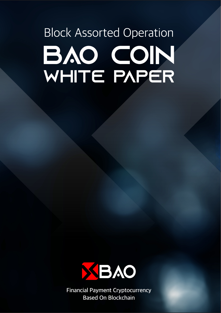# **Block Assorted Operation** BAO CON WHITE PAPER



Financial Payment Cryptocurrency Based On Blockchain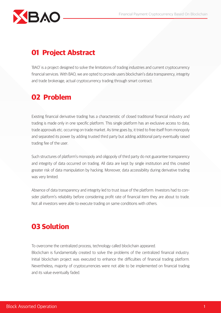## **BAO**

## 01 Project Abstract

'BAO' is a project designed to solve the limitations of trading industries and current cryptocurrency financial services. With BAO, we are opted to provide users blockchain's data transparency, integrity and trade brokerage, actual cryptocurrency trading through smart contract.

## 02 Problem

Existing financial derivative trading has a characteristic of closed traditional financial industry and trading is made only in one specific platform. This single platform has an exclusive access to data, trade approvals etc. occurring on trade market. As time goes by, it tried to free itself from monopoly and separated its power by adding trusted third party but adding additional party eventually raised trading fee of the user.

Such structures of platform's monopoly and oligopoly of third party do not guarantee transparency and integrity of data occurred on trading. All data are kept by single institution and this created greater risk of data manipulation by hacking. Moreover, data accessibility during derivative trading was very limited.

Absence of data transparency and integrity led to trust issue of the platform. Investors had to consider platform's reliability before considering profit rate of financial item they are about to trade. Not all investors were able to execute trading on same conditions with others.

## 03 Solution

To overcome the centralized process, technology called blockchain appeared. Blockchain is fundamentally created to solve the problems of the centralized financial industry. Initial blockchain project was executed to enhance the difficulties of financial trading platform. Nevertheless, majority of cryptocurrencies were not able to be implemented on financial trading and its value eventually faded.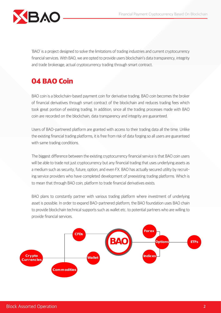

'BAO' is a project designed to solve the limitations of trading industries and current cryptocurrency financial services. With BAO, we are opted to provide users blockchain's data transparency, integrity and trade brokerage, actual cryptocurrency trading through smart contract.

## 04 BAO Coin

BAO coin is a blockchain-based payment coin for derivative trading. BAO coin becomes the broker of financial derivatives through smart contract of the blockchain and reduces trading fees which took great portion of existing trading. In addition, since all the trading processes made with BAO coin are recorded on the blockchain, data transparency and integrity are guaranteed.

Users of BAO-partnered platform are granted with access to their trading data all the time. Unlike the existing financial trading platforms, it is free from risk of data forging so all users are guaranteed with same trading conditions.

The biggest difference between the existing cryptocurrency financial service is that BAO coin users will be able to trade not just cryptocurrency but any financial trading that uses underlying assets as a medium such as security, future, option, and even FX. BAO has actually secured utility by recruiting service providers who have completed development of preexisting trading platforms. Which is to mean that through BAO coin, platform to trade financial derivatives exists.

BAO plans to constantly partner with various trading platform where investment of underlying asset is possible. In order to expand BAO-partnered platform, the BAO foundation uses BAO chain to provide blockchain technical supports such as wallet etc. to potential partners who are willing to provide financial services.

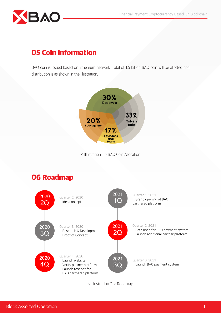

## 05 Coin Information

BAO coin is issued based on Ethereum network. Total of 1.5 billion BAO coin will be allotted and distribution is as shown in the illustration.



< Illustration 1 > BAO Coin Allocation



< Illustration 2 > Roadmap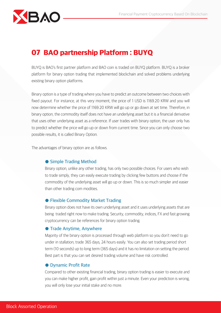

### 07 BAO partnership Platform : BUYQ

BUYQ is BAO's first partner platform and BAO coin is traded on BUYQ platform. BUYQ is a broker platform for binary option trading that implemented blockchain and solved problems underlying existing binary option platforms.

Binary option is a type of trading where you have to predict an outcome between two choices with fixed payout. For instance, at this very moment, the price of 1 USD is 1169.20 KRW and you will now determine whether the price of 1169.20 KRW will go up or go down at set time. Therefore, in binary option, the commodity itself does not have an underlying asset but it is a financial derivative that uses other underlying asset as a reference. If user trades with binary option, the user only has to predict whether the price will go up or down from current time. Since you can only choose two possible results, it is called Binary Option.

The advantages of binary option are as follows.

#### ● Simple Trading Method

Binary option, unlike any other trading, has only two possible choices. For users who wish to trade simply, they can easily execute trading by clicking few buttons and choose if the commodity of the underlying asset will go up or down. This is so much simpler and easier than other trading com modities.

#### ● Flexible Commodity Market Trading

Binary option does not have its own underlying asset and it uses underlying assets that are being traded right now to make trading. Security, commodity, indices, FX and fast growing cryptocurrency can be references for binary option trading.

#### ● Trade Anytime, Anywhere

Majority of the binary option is processed through web platform so you don't need to go under in stallation, trade 365 days, 24 hours easily. You can also set trading period short term (10 seconds) up to long term (365 days) and it has no limitation on setting the period. Best part is that you can set desired trading volume and have risk controlled.

#### ● Dynamic Profit Rate

Compared to other existing financial trading, binary option trading is easier to execute and you can make higher profit, gain profit within just a minute. Even your prediction is wrong, you will only lose your initial stake and no more.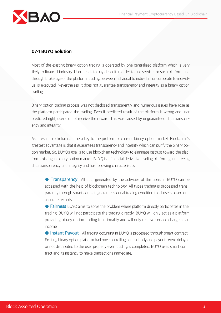

#### 07-1 BUYQ Solution

Most of the existing binary option trading is operated by one centralized platform which is very likely to financial industry. User needs to pay deposit in order to use service for such platform and through brokerage of the platform, trading between individual to individual or corporate to individual is executed. Nevertheless, it does not guarantee transparency and integrity as a binary option trading

Binary option trading process was not disclosed transparently and numerous issues have rose as the platform participated the trading. Even if predicted result of the platform is wrong and user predicted right, user did not receive the reward. This was caused by unguaranteed data transparency and integrity.

As a result, blockchain can be a key to the problem of current binary option market. Blockchain's greatest advantage is that it guarantees transparency and integrity which can purify the binary option market. So, BUYQ's goal is to use blockchain technology to eliminate distrust toward the platform existing in binary option market. BUYQ is a financial derivative trading platform guaranteeing data transparency and integrity and has following characteristics.

**Transparency** All data generated by the activities of the users in BUYQ can be accessed with the help of blockchain technology. All types trading is processed trans parently through smart contact, guarantees equal trading condition to all users based on accurate records.

● Fairness BUYQ aims to solve the problem where platform directly participates in the trading. BUYQ will not participate the trading directly. BUYQ will only act as a platform providing binary option trading functionality and will only receive service charge as an income.

● Instant Payout All trading occurring in BUYQ is processed through smart contract. Existing binary option platform had one controlling central body and payouts were delayed or not distributed to the user properly even trading is completed. BUYQ uses smart con tract and its instancy to make transactions immediate.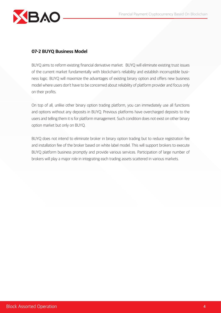

#### 07-2 BUYQ Business Model

BUYQ aims to reform existing financial derivative market. BUYQ will eliminate existing trust issues of the current market fundamentally with blockchain's reliability and establish incorruptible business logic. BUYQ will maximize the advantages of existing binary option and offers new business model where users don't have to be concerned about reliability of platform provider and focus only on their profits.

On top of all, unlike other binary option trading platform, you can immediately use all functions and options without any deposits in BUYQ. Previous platforms have overcharged deposits to the users and telling them it is for platform management. Such condition does not exist on other binary option market but only on BUYQ.

BUYQ does not intend to eliminate broker in binary option trading but to reduce registration fee and installation fee of the broker based on white label model. This will support brokers to execute BUYQ platform business promptly and provide various services. Participation of large number of brokers will play a major role in integrating each trading assets scattered in various markets.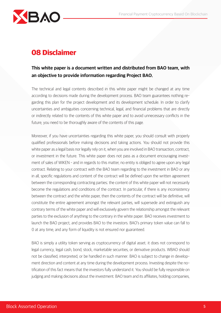

## 08 Disclaimer

#### This white paper is a document written and distributed from BAO team, with an objective to provide information regarding Project BAO.

The technical and legal contents described in this white paper might be changed at any time according to decisions made during the development process. BAO team guarantees nothing regarding this plan for the project development and its development schedule. In order to clarify uncertainties and ambiguities concerning technical, legal, and financial problems that are directly or indirectly related to the contents of this white paper and to avoid unnecessary conflicts in the future, you need to be thoroughly aware of the contents of this page.

Moreover, if you have uncertainties regarding this white paper, you should consult with properly qualified professionals before making decisions and taking actions. You should not provide this white paper as a legal basis nor legally rely on it, when you are involved in BAO transaction, contract, or investment in the future. This white paper does not pass as a document encouraging investment of sales of WIKEN – and in regards to this matter, no entity is obliged to agree upon any legal contract. Relating to your contract with the BAO team regarding to the investment in BAO or any in all, specific regulations and content of the contract will be defined upon the written agreement between the corresponding contracting parties; the content of this white paper will not necessarily become the regulations and conditions of the contract. In particular, if there is any inconsistency between the contract and the white paper, then the contents of the contract will be definitive, will constitute the entire agreement amongst the relevant parties, will supersede and extinguish any contrary terms of the white paper and will exclusively govern the relationship amongst the relevant parties to the exclusion of anything to the contrary in the white paper. BAO receives investment to launch the BAO project, and provides BAO to the investors. BAO's primary token value can fall to 0 at any time, and any form of liquidity is not ensured nor guaranteed.

BAO is simply a utility token serving as cryptocurrency of digital asset; it does not correspond to legal currency, legal cash, bond, stock, marketable securities, or derivative products. WBAO should not be classified, interpreted, or be handled in such manner. BAO is subject to change in development direction and content at any time during the development process. Investing despite the notification of this fact means that the investors fully understand it. You should be fully responsible on judging and making decisions about the investment. BAO team and its affiliates, holding companies,